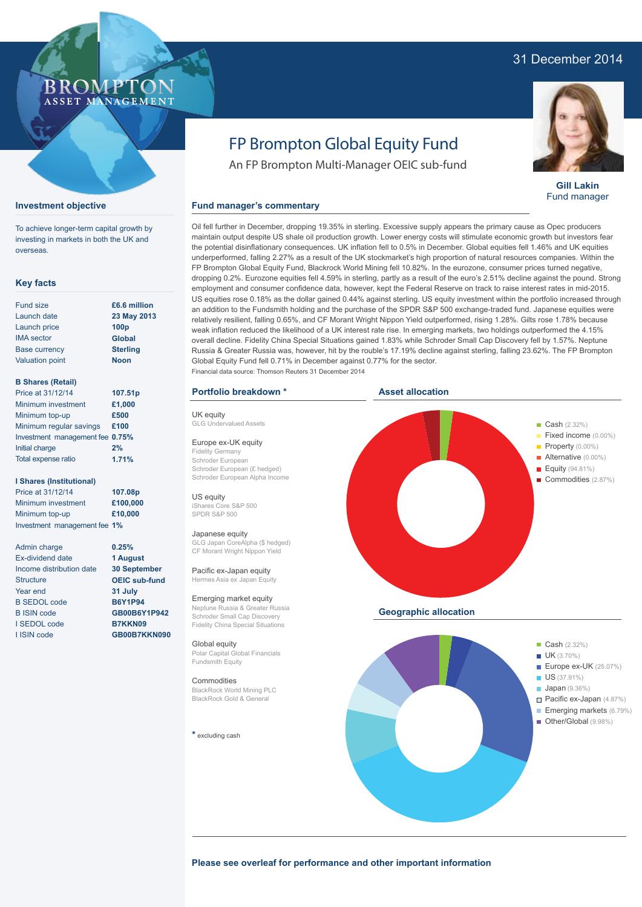### 31 December 2014



**Gill Lakin** Fund manager

# FP Brompton Global Equity Fund

An FP Brompton Multi-Manager OEIC sub-fund

### **Fund manager's commentary**

Oil fell further in December, dropping 19.35% in sterling. Excessive supply appears the primary cause as Opec producers maintain output despite US shale oil production growth. Lower energy costs will stimulate economic growth but investors fear the potential disinflationary consequences. UK inflation fell to 0.5% in December. Global equities fell 1.46% and UK equities underperformed, falling 2.27% as a result of the UK stockmarket's high proportion of natural resources companies. Within the FP Brompton Global Equity Fund, Blackrock World Mining fell 10.82%. In the eurozone, consumer prices turned negative, dropping 0.2%. Eurozone equities fell 4.59% in sterling, partly as a result of the euro's 2.51% decline against the pound. Strong employment and consumer confidence data, however, kept the Federal Reserve on track to raise interest rates in mid-2015. US equities rose 0.18% as the dollar gained 0.44% against sterling. US equity investment within the portfolio increased through an addition to the Fundsmith holding and the purchase of the SPDR S&P 500 exchange-traded fund. Japanese equities were relatively resilient, falling 0.65%, and CF Morant Wright Nippon Yield outperformed, rising 1.28%. Gilts rose 1.78% because weak inflation reduced the likelihood of a UK interest rate rise. In emerging markets, two holdings outperformed the 4.15% overall decline. Fidelity China Special Situations gained 1.83% while Schroder Small Cap Discovery fell by 1.57%. Neptune Russia & Greater Russia was, however, hit by the rouble's 17.19% decline against sterling, falling 23.62%. The FP Brompton Global Equity Fund fell 0.71% in December against 0.77% for the sector. Financial data source: Thomson Reuters 31 December 2014

### **Portfolio breakdown \***

UK equity GLG Undervalued Assets

Europe ex-UK equity Fidelity Germany Schroder European Schroder European (£ hedged) Schroder European Alpha Income

US equity iShares Core S&P 500 SPDR S&P 500

#### Japanese equity

GLG Japan CoreAlpha (\$ hedged) CF Morant Wright Nippon Yield

Pacific ex-Japan equity Hermes Asia ex Japan Equity

Emerging market equity Neptune Russia & Greater Russia Schroder Small Cap Discovery Fidelity China Special Situations

Global equity Polar Capital Global Financials Fundsmith Equity

#### **Commodities**

BlackRock World Mining PLC BlackRock Gold & General

**\*** excluding cash



### To achieve longer-term capital growth by

**Key facts**

**Investment objective**

investing in markets in both the UK and overseas.

**ROMP** ASSET MANAGEMENT

**23 May 2013**

**1.71%**

**0.25% 1 August 30 September OEIC sub-fund 31 July B6Y1P94 GB00B6Y1P942 B7KKN09 GB00B7KKN090**

| £6.6 million                    |
|---------------------------------|
| 23 May 201                      |
| 100 <sub>p</sub>                |
| Global                          |
| <b>Sterling</b>                 |
| <b>Noon</b>                     |
|                                 |
|                                 |
| 107.51p                         |
| £1,000                          |
| £500                            |
| £100                            |
| Investment management fee 0.75% |
| 2%                              |
|                                 |

### **I Shares (Institutional)**

Total expense ratio

Price at 31/12/14 Minimum investment Minimum top-up Investment management fee **1% 107.08p £100,000 £10,000**

Admin charge Ex-dividend date Income distribution date **Structure** Year end B SEDOL code B ISIN code I SEDOL code I ISIN code